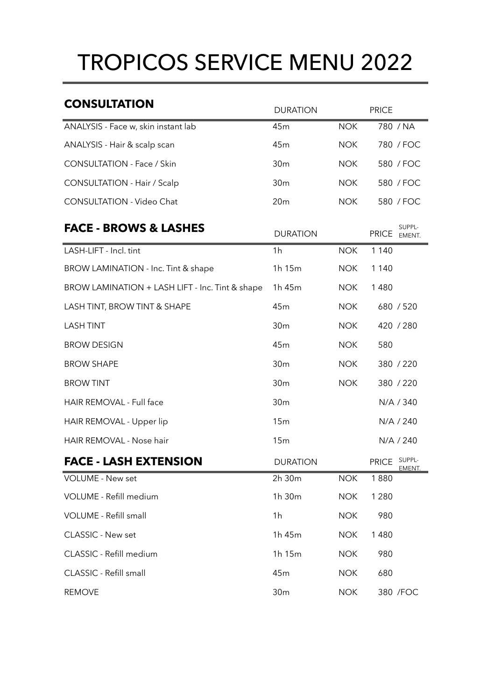## TROPICOS SERVICE MENU 2022

| <b>CONSULTATION</b>                             | <b>DURATION</b> |            | <b>PRICE</b>                     |
|-------------------------------------------------|-----------------|------------|----------------------------------|
| ANALYSIS - Face w, skin instant lab             | 45 <sub>m</sub> | <b>NOK</b> | 780 / NA                         |
| ANALYSIS - Hair & scalp scan                    | 45m             | <b>NOK</b> | 780 / FOC                        |
| <b>CONSULTATION - Face / Skin</b>               | 30 <sub>m</sub> | <b>NOK</b> | 580 / FOC                        |
| <b>CONSULTATION - Hair / Scalp</b>              | 30 <sub>m</sub> | <b>NOK</b> | 580 / FOC                        |
| <b>CONSULTATION - Video Chat</b>                | 20 <sub>m</sub> | <b>NOK</b> | 580 / FOC                        |
| <b>FACE - BROWS &amp; LASHES</b>                | <b>DURATION</b> |            | SUPPL-<br><b>PRICE</b><br>EMENT. |
| LASH-LIFT - Incl. tint                          | 1 <sub>h</sub>  | <b>NOK</b> | 1 1 4 0                          |
| BROW LAMINATION - Inc. Tint & shape             | 1h 15m          | <b>NOK</b> | 1 1 4 0                          |
| BROW LAMINATION + LASH LIFT - Inc. Tint & shape | 1h 45m          | <b>NOK</b> | 1 4 8 0                          |
| LASH TINT, BROW TINT & SHAPE                    | 45m             | <b>NOK</b> | 680 / 520                        |
| <b>LASH TINT</b>                                | 30 <sub>m</sub> | <b>NOK</b> | 420 / 280                        |
| <b>BROW DESIGN</b>                              | 45m             | <b>NOK</b> | 580                              |
| <b>BROW SHAPE</b>                               | 30 <sub>m</sub> | <b>NOK</b> | 380 / 220                        |
| <b>BROW TINT</b>                                | 30 <sub>m</sub> | <b>NOK</b> | 380 / 220                        |
| HAIR REMOVAL - Full face                        | 30 <sub>m</sub> |            | N/A / 340                        |
| HAIR REMOVAL - Upper lip                        | 15m             |            | N/A / 240                        |
| HAIR REMOVAL - Nose hair                        | 15m             |            | N/A / 240                        |
| <b>FACE - LASH EXTENSION</b>                    | <b>DURATION</b> |            | SUPPL-<br><b>PRICE</b><br>EMENT. |
| <b>VOLUME - New set</b>                         | 2h 30m          | <b>NOK</b> | 1880                             |
| VOLUME - Refill medium                          | 1h 30m          | <b>NOK</b> | 1 2 8 0                          |
| <b>VOLUME - Refill small</b>                    | 1 <sub>h</sub>  | <b>NOK</b> | 980                              |
| <b>CLASSIC - New set</b>                        | 1h 45m          | <b>NOK</b> | 1480                             |
| CLASSIC - Refill medium                         | 1h 15m          | <b>NOK</b> | 980                              |
| CLASSIC - Refill small                          | 45m             | <b>NOK</b> | 680                              |
| <b>REMOVE</b>                                   | 30 <sub>m</sub> | <b>NOK</b> | 380 / FOC                        |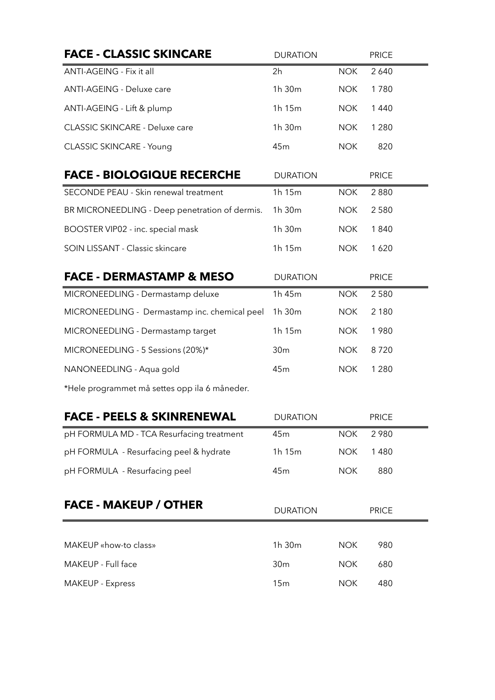| <b>FACE - CLASSIC SKINCARE</b>                 | <b>DURATION</b> |            | <b>PRICE</b> |
|------------------------------------------------|-----------------|------------|--------------|
| ANTI-AGEING - Fix it all                       | 2h              | <b>NOK</b> | 2 6 4 0      |
| ANTI-AGEING - Deluxe care                      | 1h 30m          | <b>NOK</b> | 1780         |
| ANTI-AGEING - Lift & plump                     | 1h 15m          | <b>NOK</b> | 1 4 4 0      |
| CLASSIC SKINCARE - Deluxe care                 | 1h 30m          | <b>NOK</b> | 1 2 8 0      |
| <b>CLASSIC SKINCARE - Young</b>                | 45m             | <b>NOK</b> | 820          |
| <b>FACE - BIOLOGIQUE RECERCHE</b>              | <b>DURATION</b> |            | <b>PRICE</b> |
| SECONDE PEAU - Skin renewal treatment          | 1h 15m          | <b>NOK</b> | 2880         |
| BR MICRONEEDLING - Deep penetration of dermis. | 1h 30m          | <b>NOK</b> | 2580         |
| BOOSTER VIP02 - inc. special mask              | 1h 30m          | <b>NOK</b> | 1840         |
| SOIN LISSANT - Classic skincare                | 1h 15m          | <b>NOK</b> | 1620         |
| <b>FACE - DERMASTAMP &amp; MESO</b>            | <b>DURATION</b> |            | <b>PRICE</b> |
| MICRONEEDLING - Dermastamp deluxe              | 1h 45m          | <b>NOK</b> | 2 5 8 0      |
| MICRONEEDLING - Dermastamp inc. chemical peel  | 1h 30m          | <b>NOK</b> | 2 1 8 0      |
| MICRONEEDLING - Dermastamp target              | 1h 15m          | <b>NOK</b> | 1980         |
| MICRONEEDLING - 5 Sessions (20%)*              | 30 <sub>m</sub> | <b>NOK</b> | 8720         |
| NANONEEDLING - Aqua gold                       | 45m             | <b>NOK</b> | 1 2 8 0      |
| *Hele programmet må settes opp ila 6 måneder.  |                 |            |              |
| <b>FACE - PEELS &amp; SKINRENEWAL</b>          | <b>DURATION</b> |            | <b>PRICE</b> |
| pH FORMULA MD - TCA Resurfacing treatment      | 45m             | <b>NOK</b> | 2 9 8 0      |
| pH FORMULA - Resurfacing peel & hydrate        | 1h 15m          | <b>NOK</b> | 1480         |
| pH FORMULA - Resurfacing peel                  | 45m             | <b>NOK</b> | 880          |
| <b>FACE - MAKEUP / OTHER</b>                   | <b>DURATION</b> |            | <b>PRICE</b> |
| MAKEUP «how-to class»                          | 1h 30m          | <b>NOK</b> | 980          |
| MAKEUP - Full face                             | 30 <sub>m</sub> | <b>NOK</b> | 680          |
| <b>MAKEUP - Express</b>                        | 15m             | <b>NOK</b> | 480          |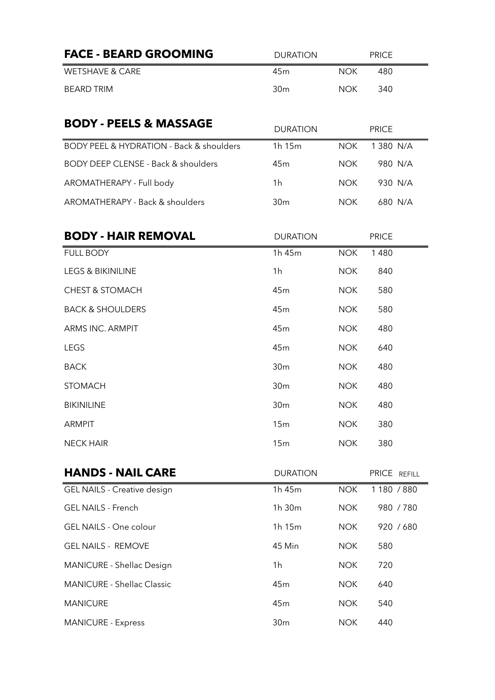| 1 380 N/A |
|-----------|
| 980 N/A   |
| 930 N/A   |
| 680 N/A   |
|           |
|           |
|           |
|           |
|           |
|           |
|           |
|           |
|           |
|           |
|           |
|           |
|           |

| <b>HANDS - NAIL CARE</b>           | <b>DURATION</b>    |            | PRICE REFILL |
|------------------------------------|--------------------|------------|--------------|
| <b>GEL NAILS - Creative design</b> | 1h 45m             | <b>NOK</b> | 1 180 / 880  |
| <b>GEL NAILS - French</b>          | 1h 30 <sub>m</sub> | <b>NOK</b> | 980 / 780    |
| <b>GEL NAILS - One colour</b>      | 1h 15m             | <b>NOK</b> | 920 / 680    |
| <b>GEL NAILS - REMOVE</b>          | 45 Min             | <b>NOK</b> | 580          |
| <b>MANICURE - Shellac Design</b>   | 1h                 | <b>NOK</b> | 720          |
| <b>MANICURE - Shellac Classic</b>  | 45m                | <b>NOK</b> | 640          |
| <b>MANICURE</b>                    | 45m                | <b>NOK</b> | 540          |
| <b>MANICURE - Express</b>          | 30 <sub>m</sub>    | <b>NOK</b> | 440          |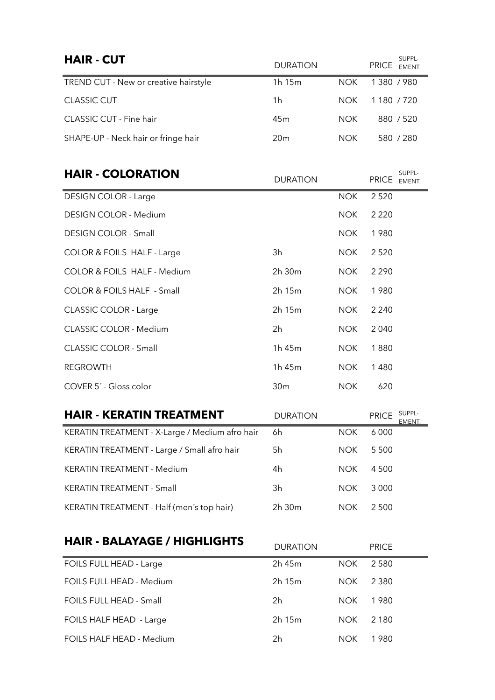| <b>HAIR - CUT</b>                     | <b>DURATION</b> |            | SUPPL-<br><b>PRICE</b><br>EMENT. |
|---------------------------------------|-----------------|------------|----------------------------------|
| TREND CUT - New or creative hairstyle | 1h 15m          | <b>NOK</b> | 1380 / 980                       |
| <b>CLASSIC CUT</b>                    | 1h              | NOK.       | 1 180 / 720                      |
| <b>CLASSIC CUT - Fine hair</b>        | 45 <sub>m</sub> | <b>NOK</b> | 880 / 520                        |
| SHAPE-UP - Neck hair or fringe hair   | 20 <sub>m</sub> | <b>NOK</b> | 580 / 280                        |

| <b>HAIR - COLORATION</b>               | <b>DURATION</b> |            | SUPPL-<br><b>PRICE</b><br>EMENT. |
|----------------------------------------|-----------------|------------|----------------------------------|
| <b>DESIGN COLOR - Large</b>            |                 | <b>NOK</b> | 2 5 2 0                          |
| <b>DESIGN COLOR - Medium</b>           |                 | <b>NOK</b> | 2 2 2 0                          |
| <b>DESIGN COLOR - Small</b>            |                 | <b>NOK</b> | 1980                             |
| COLOR & FOILS HALF - Large             | 3h              | <b>NOK</b> | 2 5 2 0                          |
| <b>COLOR &amp; FOILS HALF - Medium</b> | 2h 30m          | <b>NOK</b> | 2 2 9 0                          |
| <b>COLOR &amp; FOILS HALF - Small</b>  | 2h 15m          | <b>NOK</b> | 1980                             |
| CLASSIC COLOR - Large                  | 2h 15m          | <b>NOK</b> | 2 2 4 0                          |
| <b>CLASSIC COLOR - Medium</b>          | 2h              | <b>NOK</b> | 2 0 4 0                          |
| <b>CLASSIC COLOR - Small</b>           | 1h 45m          | <b>NOK</b> | 1880                             |
| <b>REGROWTH</b>                        | 1h 45m          | <b>NOK</b> | 1480                             |
| COVER 5' - Gloss color                 | 30 <sub>m</sub> | <b>NOK</b> | 620                              |

| <b>HAIR - KERATIN TREATMENT</b>                | <b>DURATION</b> |            | SUPPL-<br><b>PRICE</b><br>EMENT. |
|------------------------------------------------|-----------------|------------|----------------------------------|
| KERATIN TREATMENT - X-Large / Medium afro hair | 6h              | NOK.       | 6 0 0 0                          |
| KERATIN TREATMENT - Large / Small afro hair    | 5h              | NOK.       | 5 5 0 0                          |
| <b>KERATIN TREATMENT - Medium</b>              | 4h              | <b>NOK</b> | 4 5 0 0                          |
| KERATIN TREATMENT - Small                      | 3h              | <b>NOK</b> | 3 0 0 0                          |
| KERATIN TREATMENT - Half (men's top hair)      | 2h 30m          | <b>NOK</b> | 2 5 0 0                          |

## **HAIR - BALAYAGE / HIGHLIGHTS** DURATION PRICE

|                                 | P Y IV 11 I Y I V |            | .       |
|---------------------------------|-------------------|------------|---------|
| FOILS FULL HEAD - Large         | 2h 45m            | <b>NOK</b> | 2 5 8 0 |
| FOILS FULL HEAD - Medium        | 2h 15m            | NOK.       | 2 3 8 0 |
| FOILS FULL HEAD - Small         | 2h                | NOK.       | 1980    |
| FOILS HALF HEAD - Large         | 2h 15m            | <b>NOK</b> | 2 1 8 0 |
| <b>FOILS HALF HEAD - Medium</b> | 2h                | <b>NOK</b> | 1980    |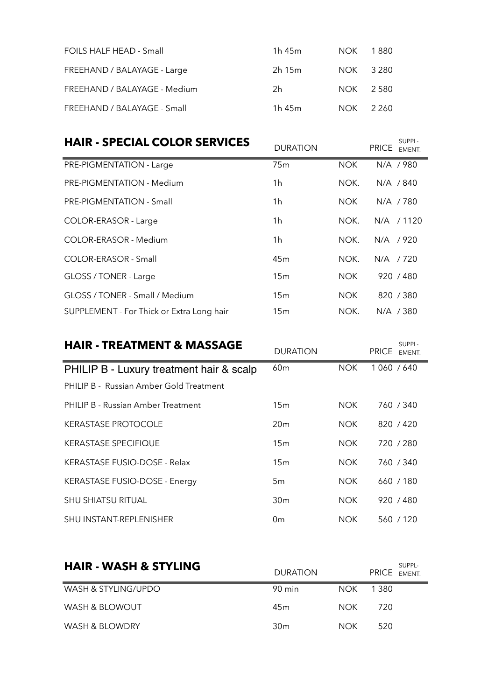| <b>FOILS HALF HEAD - Small</b> | 1 $h$ 45 $m$ | NOK       | 1 880 |
|--------------------------------|--------------|-----------|-------|
| FREEHAND / BALAYAGE - Large    | $2h$ 15 $m$  | NOK 3.280 |       |
| FREEHAND / BALAYAGE - Medium   | 2h           | NOK 2.580 |       |
| FREEHAND / BALAYAGE - Small    | 1h 45m       | NOK       | 2260  |

## **HAIR - SPECIAL COLOR SERVICES** DURATION

SUPPL-EMENT.

| 75 <sub>m</sub> | <b>NOK</b> | N/A / 980     |
|-----------------|------------|---------------|
| 1 <sub>h</sub>  | NOK.       | N/A / 840     |
| 1 <sub>h</sub>  | NOK.       | $N/A$ /780    |
| 1 <sub>h</sub>  | NOK.       | N/A<br>/ 1120 |
| 1 <sub>h</sub>  | NOK.       | /920<br>N/A   |
| 45 <sub>m</sub> | NOK.       | N/A / 720     |
| 15m             | <b>NOK</b> | 920 / 480     |
| 15 <sub>m</sub> | <b>NOK</b> | 820 / 380     |
| 15 <sub>m</sub> | NOK.       | N/A / 380     |
|                 |            |               |

| <b>HAIR - TREATMENT &amp; MASSAGE</b>          | <b>DURATION</b> |            | SUPPL-<br><b>PRICE</b><br>EMENT. |
|------------------------------------------------|-----------------|------------|----------------------------------|
| PHILIP B - Luxury treatment hair & scalp       | 60 <sub>m</sub> | <b>NOK</b> | 1 060 / 640                      |
| <b>PHILIP B - Russian Amber Gold Treatment</b> |                 |            |                                  |
| PHILIP B - Russian Amber Treatment             | 15 <sub>m</sub> | <b>NOK</b> | 760 / 340                        |
| <b>KERASTASE PROTOCOLE</b>                     | 20 <sub>m</sub> | <b>NOK</b> | 820 / 420                        |
| <b>KERASTASE SPECIFIQUE</b>                    | 15 <sub>m</sub> | <b>NOK</b> | 720 / 280                        |
| <b>KERASTASE FUSIO-DOSE - Relax</b>            | 15 <sub>m</sub> | <b>NOK</b> | 760 / 340                        |
| KERASTASE FUSIO-DOSE - Energy                  | 5m              | <b>NOK</b> | 660 / 180                        |
| <b>SHU SHIATSU RITUAL</b>                      | 30 <sub>m</sub> | <b>NOK</b> | 920 / 480                        |
| <b>SHU INSTANT-REPLENISHER</b>                 | 0 <sub>m</sub>  | <b>NOK</b> | 560 / 120                        |

| <b>HAIR - WASH &amp; STYLING</b> | <b>DURATION</b> |       | SUPPL-<br>PRICE EMENT. |
|----------------------------------|-----------------|-------|------------------------|
| WASH & STYLING/UPDO              | 90 min          | NOK . | 1.380                  |
| WASH & BLOWOUT                   | 45m             | NOK . | 720                    |
| WASH & BLOWDRY                   | 30 <sub>m</sub> | NOK.  | 520                    |